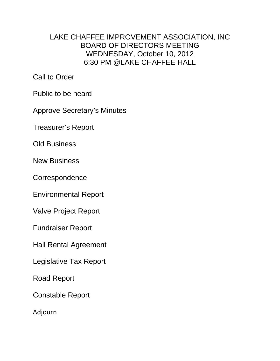## LAKE CHAFFEE IMPROVEMENT ASSOCIATION, INC BOARD OF DIRECTORS MEETING WEDNESDAY, October 10, 2012 6:30 PM @LAKE CHAFFEE HALL

Call to Order

Public to be heard

Approve Secretary's Minutes

Treasurer's Report

Old Business

New Business

**Correspondence** 

Environmental Report

Valve Project Report

Fundraiser Report

Hall Rental Agreement

Legislative Tax Report

Road Report

Constable Report

Adjourn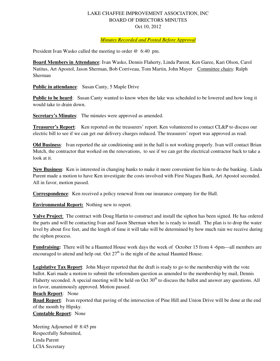## LAKE CHAFFEE IMPROVEMENT ASSOCIATION, INC BOARD OF DIRECTORS MINUTES Oct 10, 2012

## *Minutes Recorded and Posted Before Approval*

President Ivan Wasko called the meeting to order @ 6:40 pm.

**Board Members in Attendance**: Ivan Wasko, Dennis Flaherty, Linda Parent, Ken Garee, Kari Olson, Carol Natitus, Art Apostol, Jason Sherman, Bob Corriveau, Tom Martin, John Mayer Committee chairs: Ralph Sherman

**Public in attendance:** Susan Canty, 5 Maple Drive

**Public to be heard**: Susan Canty wanted to know when the lake was scheduled to be lowered and how long it would take to drain down.

**Secretary's Minutes:** The minutes were approved as amended.

**Treasurer's Report**: Ken reported on the treasurers' report. Ken volunteered to contact CL&P to discuss our electric bill to see if we can get our delivery charges reduced. The treasurers' report was approved as read.

**Old Business**: Ivan reported the air conditioning unit in the hall is not working properly. Ivan will contact Brian Mutch, the contractor that worked on the renovations, to see if we can get the electrical contractor back to take a look at it.

**New Business**: Ken is interested in changing banks to make it more convenient for him to do the banking. Linda Parent made a motion to have Ken investigate the costs involved with First Niagara Bank, Art Apostol seconded. All in favor, motion passed.

**Correspondence**: Ken received a policy renewal from our insurance company for the Hall.

**Environmental Report:** Nothing new to report.

**Valve Project**: The contract with Doug Hartin to construct and install the siphon has been signed. He has ordered the parts and will be contacting Ivan and Jason Sherman when he is ready to install. The plan is to drop the water level by about five feet, and the length of time it will take will be determined by how much rain we receive during the siphon process.

Fundraising: There will be a Haunted House work days the week of October 15 from 4 -6pm—all members are encouraged to attend and help out. Oct  $27<sup>th</sup>$  is the night of the actual Haunted House.

**Legislative Tax Report**: John Mayer reported that the draft is ready to go to the membership with the vote ballot. Kari made a motion to submit the referendum question as amended to the membership by mail, Dennis Flaherty seconded. A special meeting will be held on Oct  $30<sup>th</sup>$  to discuss the ballot and answer any questions. All in favor, unanimously approved. Motion passed.

**Beach Report**: None

**Road Report**: Ivan reported that paving of the intersection of Pine Hill and Union Drive will be done at the end of the month by Hipsky. **Constable Report**: None

Meeting Adjourned @ 8:45 pm Respectfully Submitted, Linda Parent LCIA Secretary